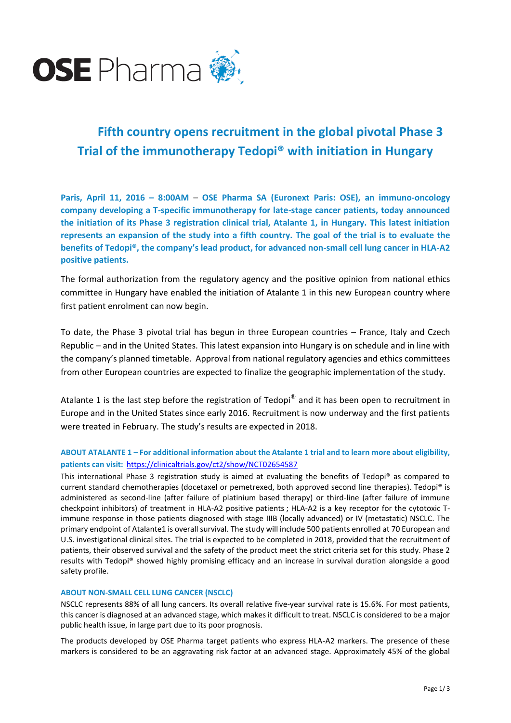

# **Fifth country opens recruitment in the global pivotal Phase 3 Trial of the immunotherapy Tedopi® with initiation in Hungary**

**Paris, April 11, 2016 – 8:00AM** – **OSE Pharma SA (Euronext Paris: OSE), an immuno-oncology company developing a T-specific immunotherapy for late-stage cancer patients, today announced the initiation of its Phase 3 registration clinical trial, Atalante 1, in Hungary. This latest initiation represents an expansion of the study into a fifth country. The goal of the trial is to evaluate the benefits of Tedopi®, the company's lead product, for advanced non-small cell lung cancer in HLA-A2 positive patients.**

The formal authorization from the regulatory agency and the positive opinion from national ethics committee in Hungary have enabled the initiation of Atalante 1 in this new European country where first patient enrolment can now begin.

To date, the Phase 3 pivotal trial has begun in three European countries – France, Italy and Czech Republic – and in the United States. This latest expansion into Hungary is on schedule and in line with the company's planned timetable. Approval from national regulatory agencies and ethics committees from other European countries are expected to finalize the geographic implementation of the study.

Atalante 1 is the last step before the registration of Tedopi® and it has been open to recruitment in Europe and in the United States since early 2016. Recruitment is now underway and the first patients were treated in February. The study's results are expected in 2018.

## **ABOUT ATALANTE 1 – For additional information about the Atalante 1 trial and to learn more about eligibility, patients can visit:** <https://clinicaltrials.gov/ct2/show/NCT02654587>

This international Phase 3 registration study is aimed at evaluating the benefits of Tedopi® as compared to current standard chemotherapies (docetaxel or pemetrexed, both approved second line therapies). Tedopi® is administered as second-line (after failure of platinium based therapy) or third-line (after failure of immune checkpoint inhibitors) of treatment in HLA-A2 positive patients ; HLA-A2 is a key receptor for the cytotoxic Timmune response in those patients diagnosed with stage IIIB (locally advanced) or IV (metastatic) NSCLC. The primary endpoint of Atalante1 is overall survival. The study will include 500 patients enrolled at 70 European and U.S. investigational clinical sites. The trial is expected to be completed in 2018, provided that the recruitment of patients, their observed survival and the safety of the product meet the strict criteria set for this study. Phase 2 results with Tedopi® showed highly promising efficacy and an increase in survival duration alongside a good safety profile.

## **ABOUT NON-SMALL CELL LUNG CANCER (NSCLC)**

NSCLC represents 88% of all lung cancers. Its overall relative five-year survival rate is 15.6%. For most patients, this cancer is diagnosed at an advanced stage, which makes it difficult to treat. NSCLC is considered to be a major public health issue, in large part due to its poor prognosis.

The products developed by OSE Pharma target patients who express HLA-A2 markers. The presence of these markers is considered to be an aggravating risk factor at an advanced stage. Approximately 45% of the global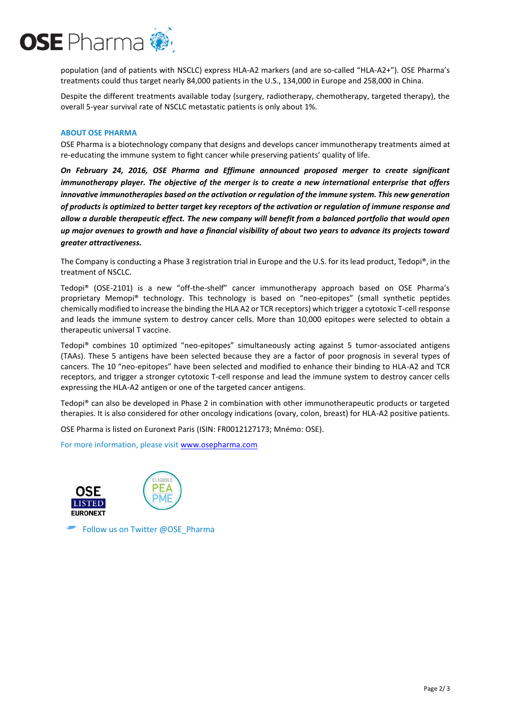

population (and of patients with NSCLC) express HLA-A2 markers (and are so-called "HLA-A2+"). OSE Pharma's treatments could thus target nearly 84,000 patients in the U.S., 134,000 in Europe and 258,000 in China.

Despite the different treatments available today (surgery, radiotherapy, chemotherapy, targeted therapy), the overall 5-year survival rate of NSCLC metastatic patients is only about 1%.

### **ABOUT OSE PHARMA**

OSE Pharma is a biotechnology company that designs and develops cancer immunotherapy treatments aimed at re-educating the immune system to fight cancer while preserving patients' quality of life.

*On February 24, 2016, OSE Pharma and Effimune announced proposed merger to create significant immunotherapy player. The objective of the merger is to create a new international enterprise that offers innovative immunotherapies based on the activation or regulation of the immune system. This new generation of products is optimized to better target key receptors of the activation or regulation of immune response and allow a durable therapeutic effect. The new company will benefit from a balanced portfolio that would open up major avenues to growth and have a financial visibility of about two years to advance its projects toward greater attractiveness.*

The Company is conducting a Phase 3 registration trial in Europe and the U.S. for its lead product, Tedopi®, in the treatment of NSCLC.

Tedopi® (OSE-2101) is a new "off-the-shelf" cancer immunotherapy approach based on OSE Pharma's proprietary Memopi® technology. This technology is based on "neo-epitopes" (small synthetic peptides chemically modified to increase the binding the HLA A2 or TCR receptors) which trigger a cytotoxic T-cell response and leads the immune system to destroy cancer cells. More than 10,000 epitopes were selected to obtain a therapeutic universal T vaccine.

Tedopi® combines 10 optimized "neo-epitopes" simultaneously acting against 5 tumor-associated antigens (TAAs). These 5 antigens have been selected because they are a factor of poor prognosis in several types of cancers. The 10 "neo-epitopes" have been selected and modified to enhance their binding to HLA-A2 and TCR receptors, and trigger a stronger cytotoxic T-cell response and lead the immune system to destroy cancer cells expressing the HLA-A2 antigen or one of the targeted cancer antigens.

Tedopi® can also be developed in Phase 2 in combination with other immunotherapeutic products or targeted therapies. It is also considered for other oncology indications (ovary, colon, breast) for HLA-A2 positive patients.

OSE Pharma is listed on Euronext Paris (ISIN: FR0012127173; Mnémo: OSE).

For more information, please visit [www.osepharma.com](http://www.osepharma.com/)



Follow us on Twitter @OSE\_Pharma